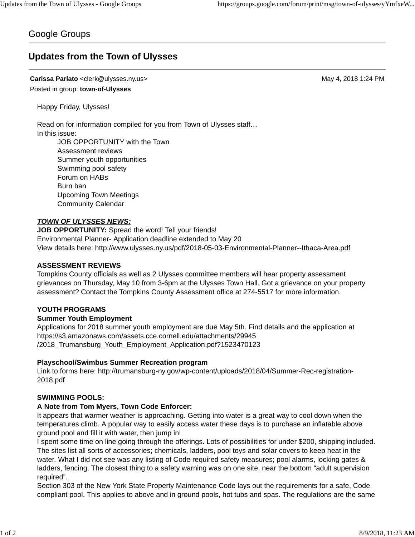# Google Groups

# **Updates from the Town of Ulysses**

**Carissa Parlato** <clerk@ulysses.ny.us> May 4, 2018 1:24 PM Posted in group: **town-of-Ulysses**

Happy Friday, Ulysses!

Read on for information compiled for you from Town of Ulysses staff… In this issue:

JOB OPPORTUNITY with the Town Assessment reviews Summer youth opportunities Swimming pool safety Forum on HABs Burn ban Upcoming Town Meetings Community Calendar

## *TOWN OF ULYSSES NEWS:*

**JOB OPPORTUNITY:** Spread the word! Tell your friends! Environmental Planner- Application deadline extended to May 20 View details here: http://www.ulysses.ny.us/pdf/2018-05-03-Environmental-Planner--Ithaca-Area.pdf

### **ASSESSMENT REVIEWS**

Tompkins County officials as well as 2 Ulysses committee members will hear property assessment grievances on Thursday, May 10 from 3-6pm at the Ulysses Town Hall. Got a grievance on your property assessment? Contact the Tompkins County Assessment office at 274-5517 for more information.

### **YOUTH PROGRAMS**

### **Summer Youth Employment**

Applications for 2018 summer youth employment are due May 5th. Find details and the application at https://s3.amazonaws.com/assets.cce.cornell.edu/attachments/29945 /2018\_Trumansburg\_Youth\_Employment\_Application.pdf?1523470123

# **Playschool/Swimbus Summer Recreation program**

Link to forms here: http://trumansburg-ny.gov/wp-content/uploads/2018/04/Summer-Rec-registration-2018.pdf

# **SWIMMING POOLS:**

# **A Note from Tom Myers, Town Code Enforcer:**

It appears that warmer weather is approaching. Getting into water is a great way to cool down when the temperatures climb. A popular way to easily access water these days is to purchase an inflatable above ground pool and fill it with water, then jump in!

I spent some time on line going through the offerings. Lots of possibilities for under \$200, shipping included. The sites list all sorts of accessories; chemicals, ladders, pool toys and solar covers to keep heat in the water. What I did not see was any listing of Code required safety measures; pool alarms, locking gates & ladders, fencing. The closest thing to a safety warning was on one site, near the bottom "adult supervision required".

Section 303 of the New York State Property Maintenance Code lays out the requirements for a safe, Code compliant pool. This applies to above and in ground pools, hot tubs and spas. The regulations are the same